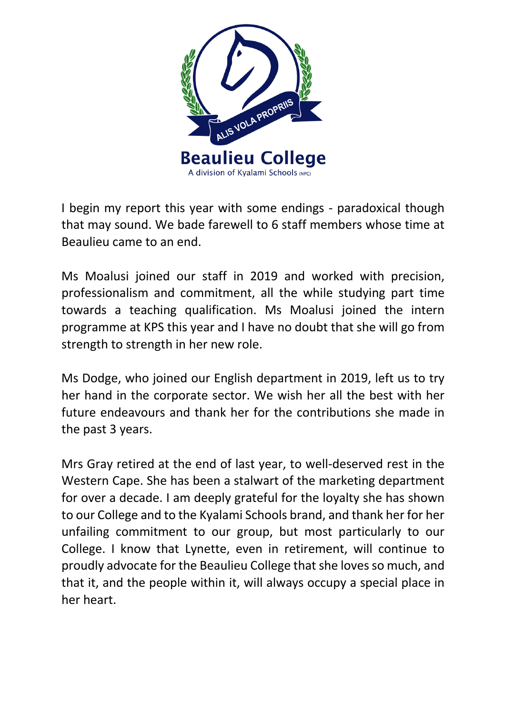

I begin my report this year with some endings - paradoxical though that may sound. We bade farewell to 6 staff members whose time at Beaulieu came to an end.

Ms Moalusi joined our staff in 2019 and worked with precision, professionalism and commitment, all the while studying part time towards a teaching qualification. Ms Moalusi joined the intern programme at KPS this year and I have no doubt that she will go from strength to strength in her new role.

Ms Dodge, who joined our English department in 2019, left us to try her hand in the corporate sector. We wish her all the best with her future endeavours and thank her for the contributions she made in the past 3 years.

Mrs Gray retired at the end of last year, to well-deserved rest in the Western Cape. She has been a stalwart of the marketing department for over a decade. I am deeply grateful for the loyalty she has shown to our College and to the Kyalami Schools brand, and thank her for her unfailing commitment to our group, but most particularly to our College. I know that Lynette, even in retirement, will continue to proudly advocate for the Beaulieu College that she loves so much, and that it, and the people within it, will always occupy a special place in her heart.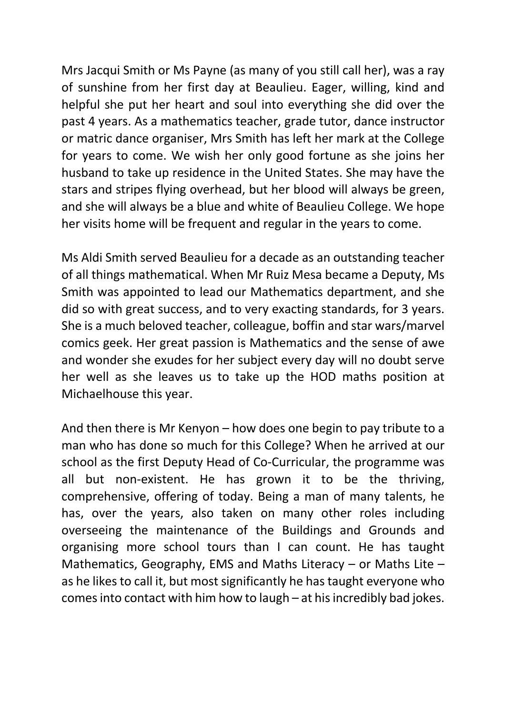Mrs Jacqui Smith or Ms Payne (as many of you still call her), was a ray of sunshine from her first day at Beaulieu. Eager, willing, kind and helpful she put her heart and soul into everything she did over the past 4 years. As a mathematics teacher, grade tutor, dance instructor or matric dance organiser, Mrs Smith has left her mark at the College for years to come. We wish her only good fortune as she joins her husband to take up residence in the United States. She may have the stars and stripes flying overhead, but her blood will always be green, and she will always be a blue and white of Beaulieu College. We hope her visits home will be frequent and regular in the years to come.

Ms Aldi Smith served Beaulieu for a decade as an outstanding teacher of all things mathematical. When Mr Ruiz Mesa became a Deputy, Ms Smith was appointed to lead our Mathematics department, and she did so with great success, and to very exacting standards, for 3 years. She is a much beloved teacher, colleague, boffin and star wars/marvel comics geek. Her great passion is Mathematics and the sense of awe and wonder she exudes for her subject every day will no doubt serve her well as she leaves us to take up the HOD maths position at Michaelhouse this year.

And then there is Mr Kenyon – how does one begin to pay tribute to a man who has done so much for this College? When he arrived at our school as the first Deputy Head of Co-Curricular, the programme was all but non-existent. He has grown it to be the thriving, comprehensive, offering of today. Being a man of many talents, he has, over the years, also taken on many other roles including overseeing the maintenance of the Buildings and Grounds and organising more school tours than I can count. He has taught Mathematics, Geography, EMS and Maths Literacy – or Maths Lite – as he likes to call it, but most significantly he has taught everyone who comes into contact with him how to laugh – at his incredibly bad jokes.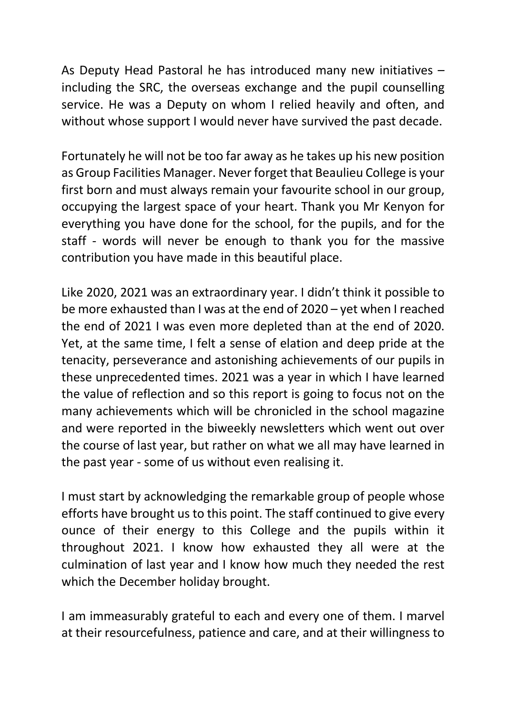As Deputy Head Pastoral he has introduced many new initiatives – including the SRC, the overseas exchange and the pupil counselling service. He was a Deputy on whom I relied heavily and often, and without whose support I would never have survived the past decade.

Fortunately he will not be too far away as he takes up his new position as Group Facilities Manager. Never forget that Beaulieu College is your first born and must always remain your favourite school in our group, occupying the largest space of your heart. Thank you Mr Kenyon for everything you have done for the school, for the pupils, and for the staff - words will never be enough to thank you for the massive contribution you have made in this beautiful place.

Like 2020, 2021 was an extraordinary year. I didn't think it possible to be more exhausted than I was at the end of 2020 – yet when I reached the end of 2021 I was even more depleted than at the end of 2020. Yet, at the same time, I felt a sense of elation and deep pride at the tenacity, perseverance and astonishing achievements of our pupils in these unprecedented times. 2021 was a year in which I have learned the value of reflection and so this report is going to focus not on the many achievements which will be chronicled in the school magazine and were reported in the biweekly newsletters which went out over the course of last year, but rather on what we all may have learned in the past year - some of us without even realising it.

I must start by acknowledging the remarkable group of people whose efforts have brought us to this point. The staff continued to give every ounce of their energy to this College and the pupils within it throughout 2021. I know how exhausted they all were at the culmination of last year and I know how much they needed the rest which the December holiday brought.

I am immeasurably grateful to each and every one of them. I marvel at their resourcefulness, patience and care, and at their willingness to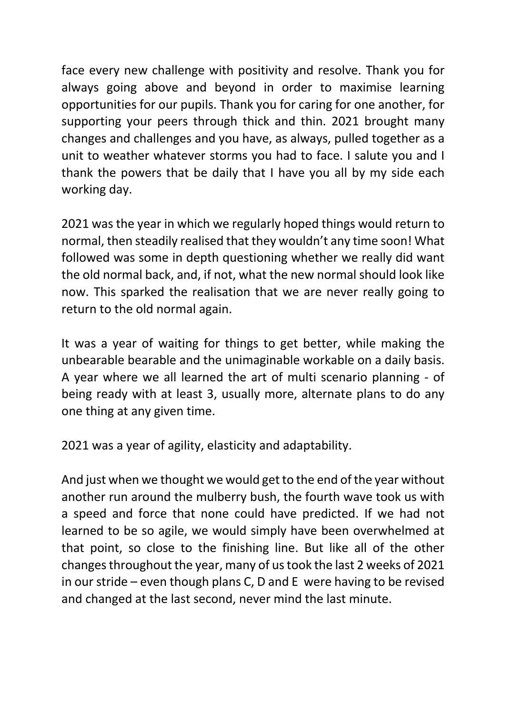face every new challenge with positivity and resolve. Thank you for always going above and beyond in order to maximise learning opportunities for our pupils. Thank you for caring for one another, for supporting your peers through thick and thin. 2021 brought many changes and challenges and you have, as always, pulled together as a unit to weather whatever storms you had to face. I salute you and I thank the powers that be daily that I have you all by my side each working day.

2021 was the year in which we regularly hoped things would return to normal, then steadily realised that they wouldn't any time soon! What followed was some in depth questioning whether we really did want the old normal back, and, if not, what the new normal should look like now. This sparked the realisation that we are never really going to return to the old normal again.

It was a year of waiting for things to get better, while making the unbearable bearable and the unimaginable workable on a daily basis. A year where we all learned the art of multi scenario planning - of being ready with at least 3, usually more, alternate plans to do any one thing at any given time.

2021 was a year of agility, elasticity and adaptability.

And just when we thought we would get to the end of the year without another run around the mulberry bush, the fourth wave took us with a speed and force that none could have predicted. If we had not learned to be so agile, we would simply have been overwhelmed at that point, so close to the finishing line. But like all of the other changes throughout the year, many of us took the last 2 weeks of 2021 in our stride – even though plans C, D and E were having to be revised and changed at the last second, never mind the last minute.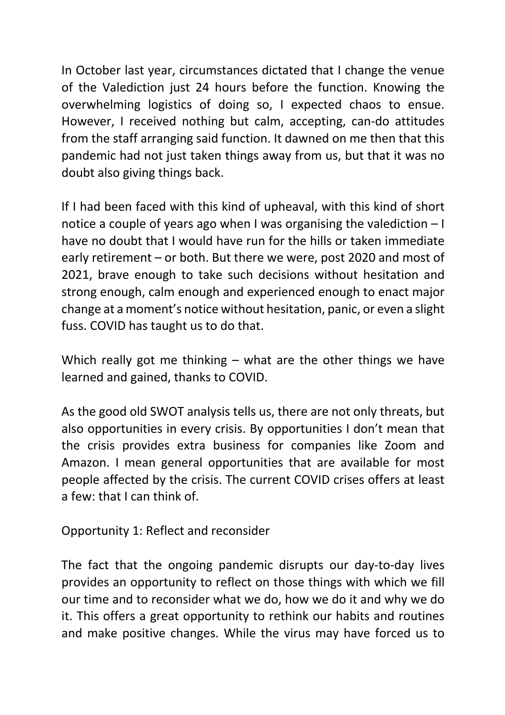In October last year, circumstances dictated that I change the venue of the Valediction just 24 hours before the function. Knowing the overwhelming logistics of doing so, I expected chaos to ensue. However, I received nothing but calm, accepting, can-do attitudes from the staff arranging said function. It dawned on me then that this pandemic had not just taken things away from us, but that it was no doubt also giving things back.

If I had been faced with this kind of upheaval, with this kind of short notice a couple of years ago when I was organising the valediction – I have no doubt that I would have run for the hills or taken immediate early retirement – or both. But there we were, post 2020 and most of 2021, brave enough to take such decisions without hesitation and strong enough, calm enough and experienced enough to enact major change at a moment's notice without hesitation, panic, or even a slight fuss. COVID has taught us to do that.

Which really got me thinking – what are the other things we have learned and gained, thanks to COVID.

As the good old SWOT analysis tells us, there are not only threats, but also opportunities in every crisis. By opportunities I don't mean that the crisis provides extra business for companies like Zoom and Amazon. I mean general opportunities that are available for most people affected by the crisis. The current COVID crises offers at least a few: that I can think of.

Opportunity 1: Reflect and reconsider

The fact that the ongoing pandemic disrupts our day-to-day lives provides an opportunity to reflect on those things with which we fill our time and to reconsider what we do, how we do it and why we do it. This offers a great opportunity to rethink our habits and routines and make positive changes. While the virus may have forced us to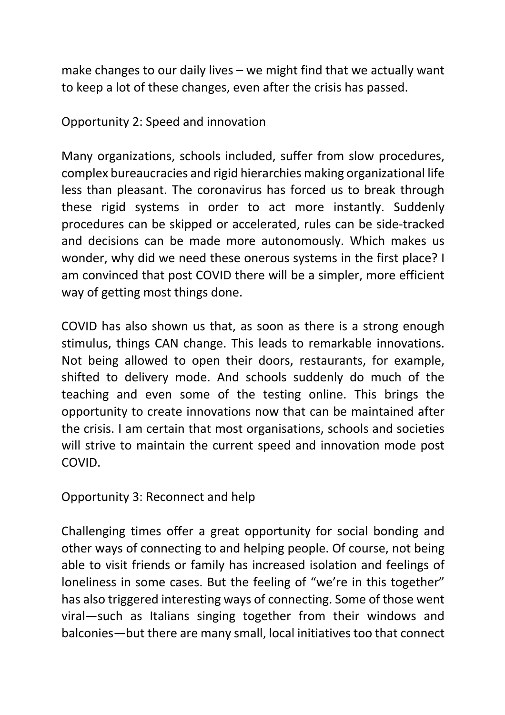make changes to our daily lives – we might find that we actually want to keep a lot of these changes, even after the crisis has passed.

Opportunity 2: Speed and innovation

Many organizations, schools included, suffer from slow procedures, complex bureaucracies and rigid hierarchies making organizational life less than pleasant. The coronavirus has forced us to break through these rigid systems in order to act more instantly. Suddenly procedures can be skipped or accelerated, rules can be side-tracked and decisions can be made more autonomously. Which makes us wonder, why did we need these onerous systems in the first place? I am convinced that post COVID there will be a simpler, more efficient way of getting most things done.

COVID has also shown us that, as soon as there is a strong enough stimulus, things CAN change. This leads to remarkable innovations. Not being allowed to open their doors, restaurants, for example, shifted to delivery mode. And schools suddenly do much of the teaching and even some of the testing online. This brings the opportunity to create innovations now that can be maintained after the crisis. I am certain that most organisations, schools and societies will strive to maintain the current speed and innovation mode post COVID.

Opportunity 3: Reconnect and help

Challenging times offer a great opportunity for social bonding and other ways of connecting to and helping people. Of course, not being able to visit friends or family has increased isolation and feelings of loneliness in some cases. But the feeling of "we're in this together" has also triggered interesting ways of connecting. Some of those went viral—such as Italians singing together from their windows and balconies—but there are many small, local initiatives too that connect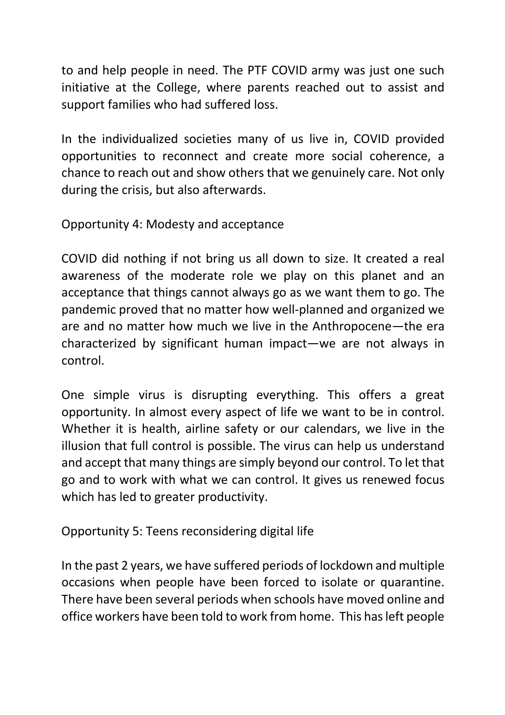to and help people in need. The PTF COVID army was just one such initiative at the College, where parents reached out to assist and support families who had suffered loss.

In the individualized societies many of us live in, COVID provided opportunities to reconnect and create more social coherence, a chance to reach out and show others that we genuinely care. Not only during the crisis, but also afterwards.

Opportunity 4: Modesty and acceptance

COVID did nothing if not bring us all down to size. It created a real awareness of the moderate role we play on this planet and an acceptance that things cannot always go as we want them to go. The pandemic proved that no matter how well-planned and organized we are and no matter how much we live in the Anthropocene—the era characterized by significant human impact—we are not always in control.

One simple virus is disrupting everything. This offers a great opportunity. In almost every aspect of life we want to be in control. Whether it is health, airline safety or our calendars, we live in the illusion that full control is possible. The virus can help us understand and accept that many things are simply beyond our control. To let that go and to work with what we can control. It gives us renewed focus which has led to greater productivity.

Opportunity 5: Teens reconsidering digital life

In the past 2 years, we have suffered periods of lockdown and multiple occasions when people have been forced to isolate or quarantine. There have been several periods when schools have moved online and office workers have been told to work from home. This has left people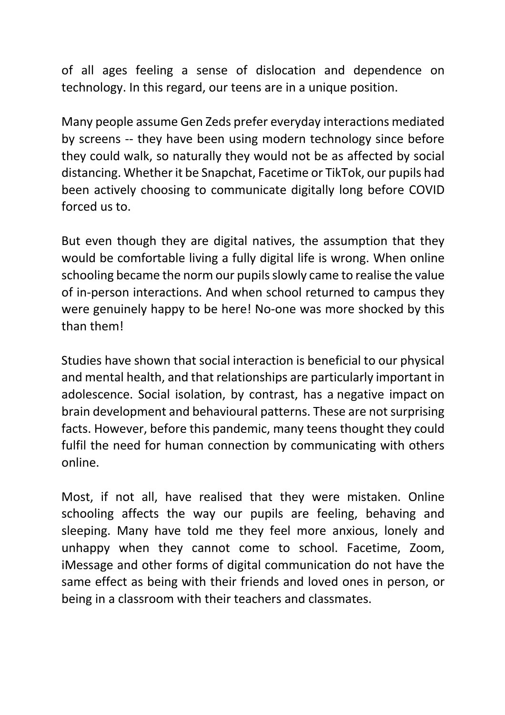of all ages feeling a sense of dislocation and dependence on technology. In this regard, our teens are in a unique position.

Many people assume Gen Zeds prefer everyday interactions mediated by screens -- they have been using modern technology since before they could walk, so naturally they would not be as affected by social distancing. Whether it be Snapchat, Facetime or TikTok, our pupils had been actively choosing to communicate digitally long before COVID forced us to.

But even though they are digital natives, the assumption that they would be comfortable living a fully digital life is wrong. When online schooling became the norm our pupils slowly came to realise the value of in-person interactions. And when school returned to campus they were genuinely happy to be here! No-one was more shocked by this than them!

Studies have shown that social interaction is beneficial to our physical and mental health, and that relationships are particularly important in adolescence. Social isolation, by contrast, has a negative impact on brain development and behavioural patterns. These are not surprising facts. However, before this pandemic, many teens thought they could fulfil the need for human connection by communicating with others online.

Most, if not all, have realised that they were mistaken. Online schooling affects the way our pupils are feeling, behaving and sleeping. Many have told me they feel more anxious, lonely and unhappy when they cannot come to school. Facetime, Zoom, iMessage and other forms of digital communication do not have the same effect as being with their friends and loved ones in person, or being in a classroom with their teachers and classmates.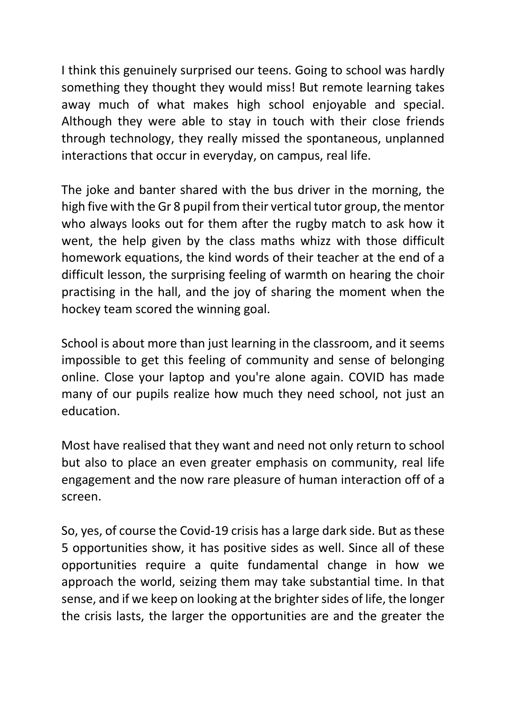I think this genuinely surprised our teens. Going to school was hardly something they thought they would miss! But remote learning takes away much of what makes high school enjoyable and special. Although they were able to stay in touch with their close friends through technology, they really missed the spontaneous, unplanned interactions that occur in everyday, on campus, real life.

The joke and banter shared with the bus driver in the morning, the high five with the Gr 8 pupil from their vertical tutor group, the mentor who always looks out for them after the rugby match to ask how it went, the help given by the class maths whizz with those difficult homework equations, the kind words of their teacher at the end of a difficult lesson, the surprising feeling of warmth on hearing the choir practising in the hall, and the joy of sharing the moment when the hockey team scored the winning goal.

School is about more than just learning in the classroom, and it seems impossible to get this feeling of community and sense of belonging online. Close your laptop and you're alone again. COVID has made many of our pupils realize how much they need school, not just an education.

Most have realised that they want and need not only return to school but also to place an even greater emphasis on community, real life engagement and the now rare pleasure of human interaction off of a screen.

So, yes, of course the Covid-19 crisis has a large dark side. But as these 5 opportunities show, it has positive sides as well. Since all of these opportunities require a quite fundamental change in how we approach the world, seizing them may take substantial time. In that sense, and if we keep on looking at the brighter sides of life, the longer the crisis lasts, the larger the opportunities are and the greater the